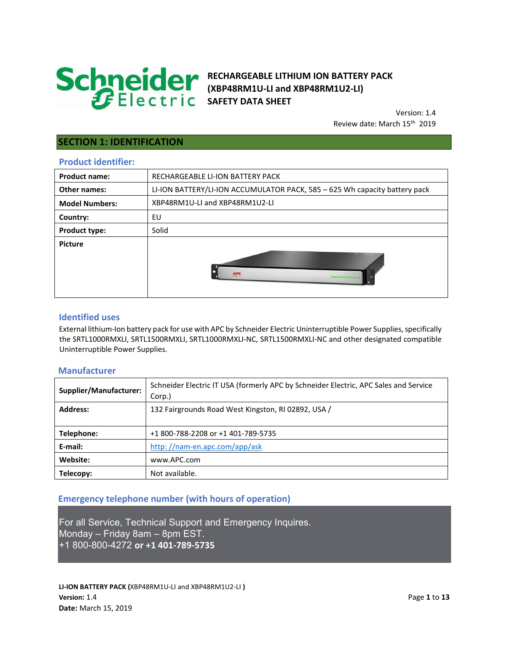

# **RECHARGEABLE LITHIUM ION BATTERY PACK (XBP48RM1U-LI and XBP48RM1U2-LI) SAFETY DATA SHEET**

 Version: 1.4 Review date: March 15<sup>th</sup> 2019

# **SECTION 1: IDENTIFICATION**

## **Product identifier:**

|                       | $\Delta PC$                                                                |
|-----------------------|----------------------------------------------------------------------------|
| <b>Picture</b>        |                                                                            |
| <b>Product type:</b>  | Solid                                                                      |
| Country:              | EU                                                                         |
| <b>Model Numbers:</b> | XBP48RM1U-LI and XBP48RM1U2-LI                                             |
| <b>Other names:</b>   | LI-ION BATTERY/LI-ION ACCUMULATOR PACK, 585 - 625 Wh capacity battery pack |
| <b>Product name:</b>  | RECHARGEABLE LI-ION BATTERY PACK                                           |

#### **Identified uses**

External lithium-Ion battery pack for use with APC by Schneider Electric Uninterruptible Power Supplies, specifically the SRTL1000RMXLI, SRTL1500RMXLI, SRTL1000RMXLI-NC, SRTL1500RMXLI-NC and other designated compatible Uninterruptible Power Supplies.

#### **Manufacturer**

| Supplier/Manufacturer: | Schneider Electric IT USA (formerly APC by Schneider Electric, APC Sales and Service<br>Corp.) |  |
|------------------------|------------------------------------------------------------------------------------------------|--|
| <b>Address:</b>        | 132 Fairgrounds Road West Kingston, RJ 02892, USA /                                            |  |
|                        |                                                                                                |  |
| Telephone:             | +1 800-788-2208 or +1 401-789-5735                                                             |  |
| E-mail:                | http://nam-en.apc.com/app/ask                                                                  |  |
| Website:               | www.APC.com                                                                                    |  |
| Telecopy:              | Not available.                                                                                 |  |

## **Emergency telephone number (with hours of operation)**

For all Service, Technical Support and Emergency Inquires. Monday – Friday 8am – 8pm EST. +1 800-800-4272 **or +1 401-789-5735**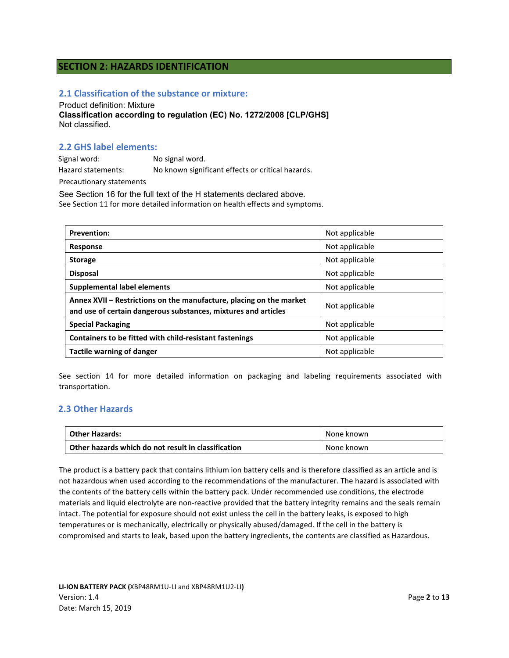# **SECTION 2: HAZARDS IDENTIFICATION**

#### **2.1 Classification of the substance or mixture:**

Product definition: Mixture

**Classification according to regulation (EC) No. 1272/2008 [CLP/GHS]**  Not classified.

#### **2.2 GHS label elements:**

Signal word: No signal word. Hazard statements:No known significant effects or critical hazards.

Precautionary statements

See Section 16 for the full text of the H statements declared above. See Section 11 for more detailed information on health effects and symptoms.

| <b>Prevention:</b>                                                                                                                    | Not applicable |
|---------------------------------------------------------------------------------------------------------------------------------------|----------------|
| Response                                                                                                                              | Not applicable |
| <b>Storage</b>                                                                                                                        | Not applicable |
| <b>Disposal</b>                                                                                                                       | Not applicable |
| Supplemental label elements                                                                                                           | Not applicable |
| Annex XVII – Restrictions on the manufacture, placing on the market<br>and use of certain dangerous substances, mixtures and articles | Not applicable |
| <b>Special Packaging</b>                                                                                                              | Not applicable |
| Containers to be fitted with child-resistant fastenings                                                                               | Not applicable |
| <b>Tactile warning of danger</b>                                                                                                      | Not applicable |

See section 14 for more detailed information on packaging and labeling requirements associated with transportation.

## **2.3 Other Hazards**

| Other Hazards:                                      | None known |
|-----------------------------------------------------|------------|
| Other hazards which do not result in classification | None known |

The product is a battery pack that contains lithium ion battery cells and is therefore classified as an article and is not hazardous when used according to the recommendations of the manufacturer. The hazard is associated with the contents of the battery cells within the battery pack. Under recommended use conditions, the electrode materials and liquid electrolyte are non-reactive provided that the battery integrity remains and the seals remain intact. The potential for exposure should not exist unless the cell in the battery leaks, is exposed to high temperatures or is mechanically, electrically or physically abused/damaged. If the cell in the battery is compromised and starts to leak, based upon the battery ingredients, the contents are classified as Hazardous.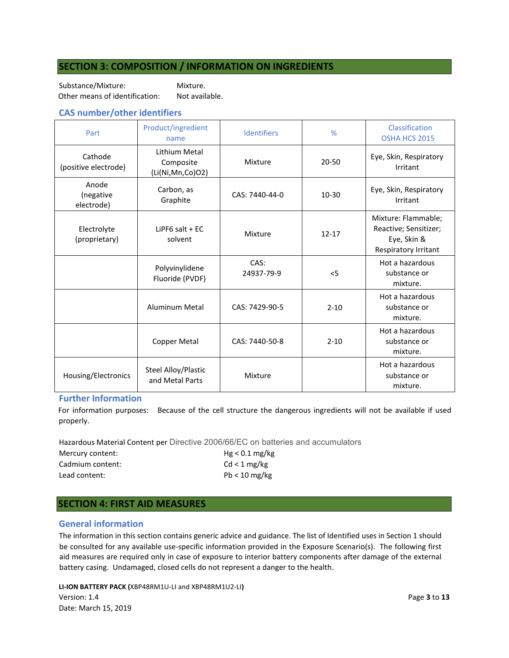# **SECTION 3: COMPOSITION / INFORMATION ON INGREDIENTS**

Substance/Mixture: Mixture. Other means of identification: Not available.

## **CAS number/other identifiers**

| Part                             | Product/ingredient<br>name                     | <b>Identifiers</b> | %         | Classification<br>OSHA HCS 2015                                                     |
|----------------------------------|------------------------------------------------|--------------------|-----------|-------------------------------------------------------------------------------------|
| Cathode<br>(positive electrode)  | Lithium Metal<br>Composite<br>(Li(Ni,Mn,Co)O2) | Mixture            | 20-50     | Eye, Skin, Respiratory<br>Irritant                                                  |
| Anode<br>(negative<br>electrode) | Carbon, as<br>Graphite                         | CAS: 7440-44-0     | $10 - 30$ | Eye, Skin, Respiratory<br>Irritant                                                  |
| Electrolyte<br>(proprietary)     | LiPF6 salt $+EC$<br>solvent                    | Mixture            | $12 - 17$ | Mixture: Flammable;<br>Reactive; Sensitizer;<br>Eye, Skin &<br>Respiratory Irritant |
|                                  | Polyvinylidene<br>Fluoride (PVDF)              | CAS:<br>24937-79-9 | $<$ 5     | Hot a hazardous<br>substance or<br>mixture.                                         |
|                                  | <b>Aluminum Metal</b>                          | CAS: 7429-90-5     | $2 - 10$  | Hot a hazardous<br>substance or<br>mixture.                                         |
|                                  | <b>Copper Metal</b>                            | CAS: 7440-50-8     | $2 - 10$  | Hot a hazardous<br>substance or<br>mixture.                                         |
| Housing/Electronics              | Steel Alloy/Plastic<br>and Metal Parts         | Mixture            |           | Hot a hazardous<br>substance or<br>mixture.                                         |

#### **Further Information**

For information purposes: Because of the cell structure the dangerous ingredients will not be available if used properly.

Hazardous Material Content per Directive 2006/66/EC on batteries and accumulators

| Mercury content: | $Hg < 0.1$ mg/kg |
|------------------|------------------|
| Cadmium content: | Cd < 1 mg/kg     |
| Lead content:    | $Pb < 10$ mg/kg  |

# **SECTION 4: FIRST AID MEASURES**

#### **General information**

The information in this section contains generic advice and guidance. The list of Identified uses in Section 1 should be consulted for any available use-specific information provided in the Exposure Scenario(s). The following first aid measures are required only in case of exposure to interior battery components after damage of the external battery casing. Undamaged, closed cells do not represent a danger to the health.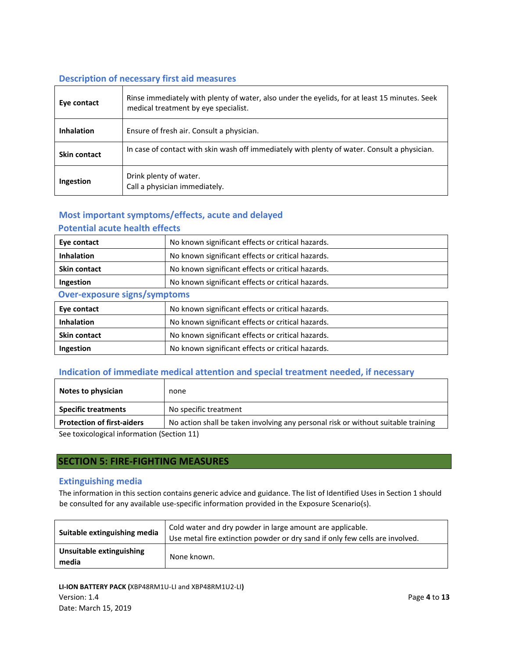# **Description of necessary first aid measures**

| Eye contact         | Rinse immediately with plenty of water, also under the eyelids, for at least 15 minutes. Seek<br>medical treatment by eye specialist. |
|---------------------|---------------------------------------------------------------------------------------------------------------------------------------|
| <b>Inhalation</b>   | Ensure of fresh air. Consult a physician.                                                                                             |
| <b>Skin contact</b> | In case of contact with skin wash off immediately with plenty of water. Consult a physician.                                          |
| Ingestion           | Drink plenty of water.<br>Call a physician immediately.                                                                               |

# **Most important symptoms/effects, acute and delayed Potential acute health effects**

| Eye contact                         | No known significant effects or critical hazards. |
|-------------------------------------|---------------------------------------------------|
| <b>Inhalation</b>                   | No known significant effects or critical hazards. |
| Skin contact                        | No known significant effects or critical hazards. |
| Ingestion                           | No known significant effects or critical hazards. |
| <b>Over-exposure signs/symptoms</b> |                                                   |
| Eye contact                         | No known significant effects or critical hazards. |
| <b>Inhalation</b>                   | No known significant effects or critical hazards. |
| <b>Skin contact</b>                 | No known significant effects or critical hazards. |
| Ingestion                           | No known significant effects or critical hazards. |

# **Indication of immediate medical attention and special treatment needed, if necessary**

| Notes to physician                         | none                                                                              |
|--------------------------------------------|-----------------------------------------------------------------------------------|
| <b>Specific treatments</b>                 | No specific treatment                                                             |
| <b>Protection of first-aiders</b>          | No action shall be taken involving any personal risk or without suitable training |
| Can toutenlaminal information (Cantian 44) |                                                                                   |

See toxicological information (Section 11)

# **SECTION 5: FIRE-FIGHTING MEASURES**

## **Extinguishing media**

The information in this section contains generic advice and guidance. The list of Identified Uses in Section 1 should be consulted for any available use-specific information provided in the Exposure Scenario(s).

| Suitable extinguishing media      | Cold water and dry powder in large amount are applicable.<br>Use metal fire extinction powder or dry sand if only few cells are involved. |
|-----------------------------------|-------------------------------------------------------------------------------------------------------------------------------------------|
| Unsuitable extinguishing<br>media | None known.                                                                                                                               |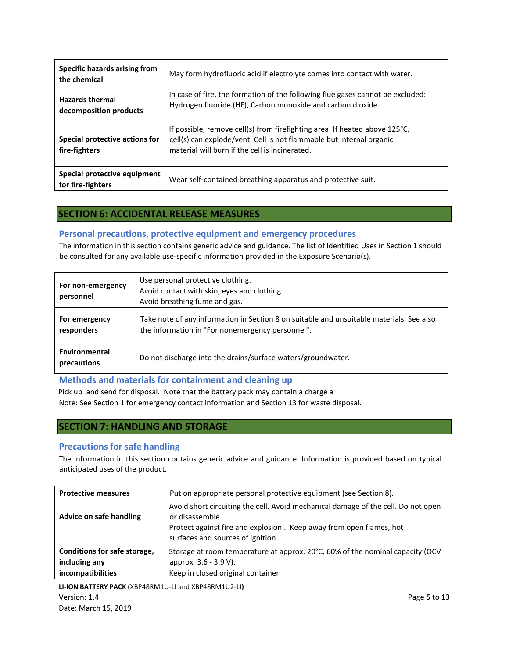| Specific hazards arising from<br>the chemical     | May form hydrofluoric acid if electrolyte comes into contact with water.                                                                                                                             |
|---------------------------------------------------|------------------------------------------------------------------------------------------------------------------------------------------------------------------------------------------------------|
| <b>Hazards thermal</b><br>decomposition products  | In case of fire, the formation of the following flue gases cannot be excluded:<br>Hydrogen fluoride (HF), Carbon monoxide and carbon dioxide.                                                        |
| Special protective actions for<br>fire-fighters   | If possible, remove cell(s) from firefighting area. If heated above 125°C,<br>cell(s) can explode/vent. Cell is not flammable but internal organic<br>material will burn if the cell is incinerated. |
| Special protective equipment<br>for fire-fighters | Wear self-contained breathing apparatus and protective suit.                                                                                                                                         |

# **SECTION 6: ACCIDENTAL RELEASE MEASURES**

## **Personal precautions, protective equipment and emergency procedures**

The information in this section contains generic advice and guidance. The list of Identified Uses in Section 1 should be consulted for any available use-specific information provided in the Exposure Scenario(s).

| For non-emergency<br>personnel | Use personal protective clothing.<br>Avoid contact with skin, eyes and clothing.<br>Avoid breathing fume and gas.                            |
|--------------------------------|----------------------------------------------------------------------------------------------------------------------------------------------|
| For emergency<br>responders    | Take note of any information in Section 8 on suitable and unsuitable materials. See also<br>the information in "For nonemergency personnel". |
| Environmental<br>precautions   | Do not discharge into the drains/surface waters/groundwater.                                                                                 |

#### **Methods and materials for containment and cleaning up**

Pick up and send for disposal. Note that the battery pack may contain a charge a Note: See Section 1 for emergency contact information and Section 13 for waste disposal.

# **SECTION 7: HANDLING AND STORAGE**

## **Precautions for safe handling**

The information in this section contains generic advice and guidance. Information is provided based on typical anticipated uses of the product.

| <b>Protective measures</b>                    | Put on appropriate personal protective equipment (see Section 8).                                                                                                                                                |
|-----------------------------------------------|------------------------------------------------------------------------------------------------------------------------------------------------------------------------------------------------------------------|
| Advice on safe handling                       | Avoid short circuiting the cell. Avoid mechanical damage of the cell. Do not open<br>or disassemble.<br>Protect against fire and explosion. Keep away from open flames, hot<br>surfaces and sources of ignition. |
| Conditions for safe storage,<br>including any | Storage at room temperature at approx. 20°C, 60% of the nominal capacity (OCV<br>approx. 3.6 - 3.9 V).                                                                                                           |
| incompatibilities                             | Keep in closed original container.                                                                                                                                                                               |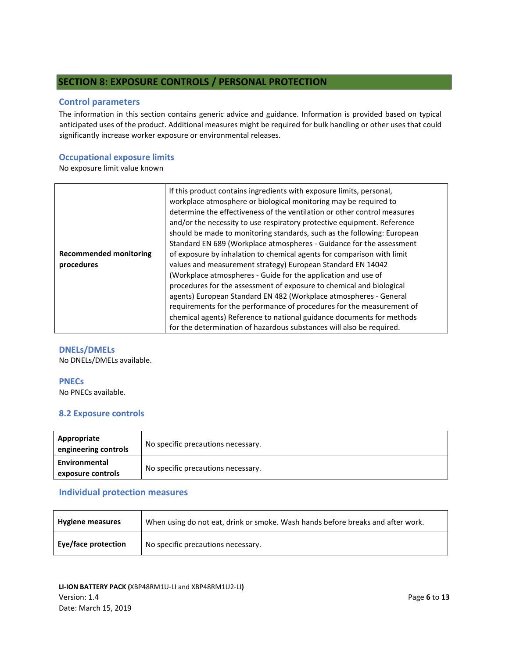# **SECTION 8: EXPOSURE CONTROLS / PERSONAL PROTECTION**

#### **Control parameters**

The information in this section contains generic advice and guidance. Information is provided based on typical anticipated uses of the product. Additional measures might be required for bulk handling or other uses that could significantly increase worker exposure or environmental releases.

#### **Occupational exposure limits**

No exposure limit value known

|                               | If this product contains ingredients with exposure limits, personal,<br>workplace atmosphere or biological monitoring may be required to<br>determine the effectiveness of the ventilation or other control measures<br>and/or the necessity to use respiratory protective equipment. Reference<br>should be made to monitoring standards, such as the following: European<br>Standard EN 689 (Workplace atmospheres - Guidance for the assessment |
|-------------------------------|----------------------------------------------------------------------------------------------------------------------------------------------------------------------------------------------------------------------------------------------------------------------------------------------------------------------------------------------------------------------------------------------------------------------------------------------------|
| <b>Recommended monitoring</b> | of exposure by inhalation to chemical agents for comparison with limit                                                                                                                                                                                                                                                                                                                                                                             |
| procedures                    | values and measurement strategy) European Standard EN 14042                                                                                                                                                                                                                                                                                                                                                                                        |
|                               | (Workplace atmospheres - Guide for the application and use of                                                                                                                                                                                                                                                                                                                                                                                      |
|                               | procedures for the assessment of exposure to chemical and biological                                                                                                                                                                                                                                                                                                                                                                               |
|                               | agents) European Standard EN 482 (Workplace atmospheres - General                                                                                                                                                                                                                                                                                                                                                                                  |
|                               | requirements for the performance of procedures for the measurement of                                                                                                                                                                                                                                                                                                                                                                              |
|                               | chemical agents) Reference to national guidance documents for methods                                                                                                                                                                                                                                                                                                                                                                              |
|                               | for the determination of hazardous substances will also be required.                                                                                                                                                                                                                                                                                                                                                                               |

#### **DNELs/DMELs**

No DNELs/DMELs available.

#### **PNECs**

No PNECs available.

## **8.2 Exposure controls**

| Appropriate<br>engineering controls | No specific precautions necessary. |
|-------------------------------------|------------------------------------|
| Environmental<br>exposure controls  | No specific precautions necessary. |

## **Individual protection measures**

| <b>Hygiene measures</b> | When using do not eat, drink or smoke. Wash hands before breaks and after work. |
|-------------------------|---------------------------------------------------------------------------------|
| Eye/face protection     | No specific precautions necessary.                                              |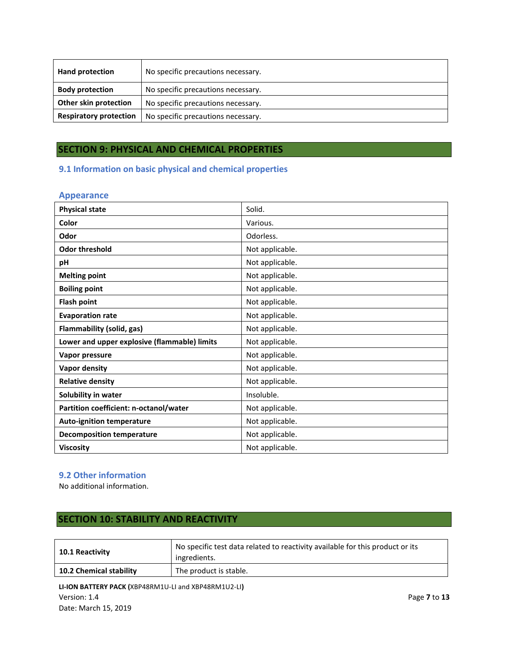| <b>Hand protection</b>        | No specific precautions necessary. |  |
|-------------------------------|------------------------------------|--|
| <b>Body protection</b>        | No specific precautions necessary. |  |
| Other skin protection         | No specific precautions necessary. |  |
| <b>Respiratory protection</b> | No specific precautions necessary. |  |

# **SECTION 9: PHYSICAL AND CHEMICAL PROPERTIES**

# **9.1 Information on basic physical and chemical properties**

## **Appearance**

| <b>Physical state</b>                        | Solid.          |
|----------------------------------------------|-----------------|
| Color                                        | Various.        |
| Odor                                         | Odorless.       |
| <b>Odor threshold</b>                        | Not applicable. |
| pH                                           | Not applicable. |
| <b>Melting point</b>                         | Not applicable. |
| <b>Boiling point</b>                         | Not applicable. |
| <b>Flash point</b>                           | Not applicable. |
| <b>Evaporation rate</b>                      | Not applicable. |
| Flammability (solid, gas)                    | Not applicable. |
| Lower and upper explosive (flammable) limits | Not applicable. |
| Vapor pressure                               | Not applicable. |
| Vapor density                                | Not applicable. |
| <b>Relative density</b>                      | Not applicable. |
| Solubility in water                          | Insoluble.      |
| Partition coefficient: n-octanol/water       | Not applicable. |
| <b>Auto-ignition temperature</b>             | Not applicable. |
| <b>Decomposition temperature</b>             | Not applicable. |
| <b>Viscosity</b>                             | Not applicable. |

## **9.2 Other information**

No additional information.

# **SECTION 10: STABILITY AND REACTIVITY**

| <b>10.1 Reactivity</b>         | No specific test data related to reactivity available for this product or its<br>ingredients. |  |
|--------------------------------|-----------------------------------------------------------------------------------------------|--|
| <b>10.2 Chemical stability</b> | The product is stable.                                                                        |  |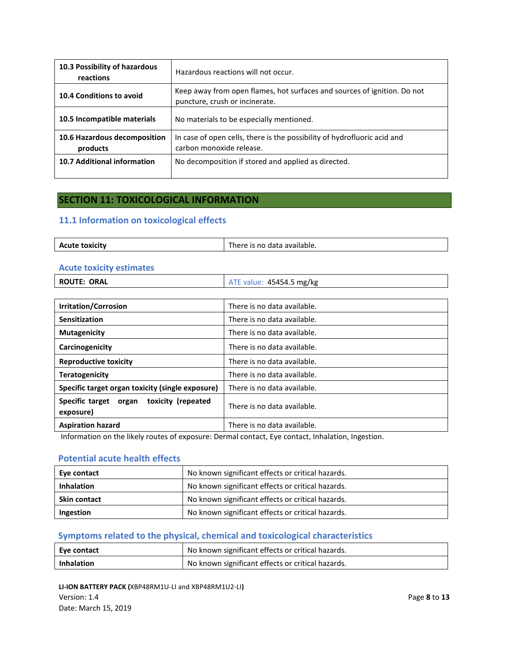| 10.3 Possibility of hazardous<br>reactions | Hazardous reactions will not occur.                                                                        |
|--------------------------------------------|------------------------------------------------------------------------------------------------------------|
| 10.4 Conditions to avoid                   | Keep away from open flames, hot surfaces and sources of ignition. Do not<br>puncture, crush or incinerate. |
| 10.5 Incompatible materials                | No materials to be especially mentioned.                                                                   |
| 10.6 Hazardous decomposition<br>products   | In case of open cells, there is the possibility of hydrofluoric acid and<br>carbon monoxide release.       |
| 10.7 Additional information                | No decomposition if stored and applied as directed.                                                        |

# **SECTION 11: TOXICOLOGICAL INFORMATION**

## **11.1 Information on toxicological effects**

| <b>Acute toxicity</b><br>There is no data available. |
|------------------------------------------------------|
|------------------------------------------------------|

#### **Acute toxicity estimates**

| <b>ROUTE: ORAL</b> | ATE value: 45454.5 mg/kg |
|--------------------|--------------------------|
|                    |                          |

| <b>Irritation/Corrosion</b>                              | There is no data available. |
|----------------------------------------------------------|-----------------------------|
| Sensitization                                            | There is no data available. |
| <b>Mutagenicity</b>                                      | There is no data available. |
| Carcinogenicity                                          | There is no data available. |
| <b>Reproductive toxicity</b>                             | There is no data available. |
| <b>Teratogenicity</b>                                    | There is no data available. |
| Specific target organ toxicity (single exposure)         | There is no data available. |
| Specific target organ<br>toxicity (repeated<br>exposure) | There is no data available. |
| <b>Aspiration hazard</b>                                 | There is no data available. |

Information on the likely routes of exposure: Dermal contact, Eye contact, Inhalation, Ingestion.

## **Potential acute health effects**

| Eye contact         | No known significant effects or critical hazards. |
|---------------------|---------------------------------------------------|
| <b>Inhalation</b>   | No known significant effects or critical hazards. |
| <b>Skin contact</b> | No known significant effects or critical hazards. |
| Ingestion           | No known significant effects or critical hazards. |

# **Symptoms related to the physical, chemical and toxicological characteristics**

| Eye contact       | No known significant effects or critical hazards. |
|-------------------|---------------------------------------------------|
| <b>Inhalation</b> | No known significant effects or critical hazards. |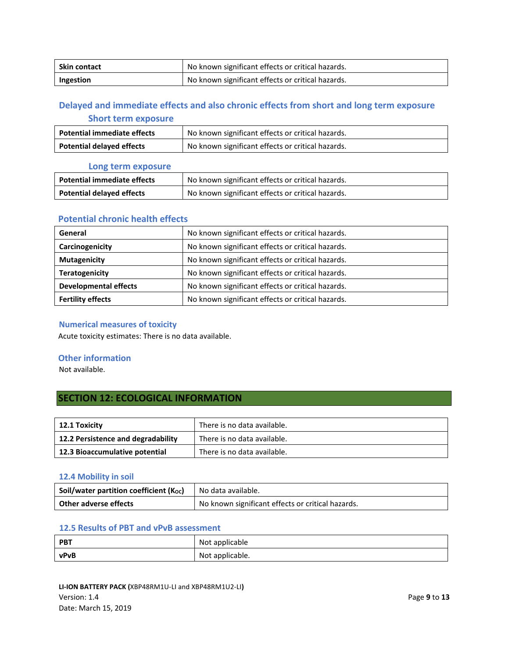| Skin contact | No known significant effects or critical hazards. |
|--------------|---------------------------------------------------|
| Ingestion    | No known significant effects or critical hazards. |

# **Delayed and immediate effects and also chronic effects from short and long term exposure Short term exposure**

| <b>Potential immediate effects</b> | No known significant effects or critical hazards. |
|------------------------------------|---------------------------------------------------|
| <b>Potential delayed effects</b>   | No known significant effects or critical hazards. |

#### **Long term exposure**

| <b>Potential immediate effects</b> | No known significant effects or critical hazards. |
|------------------------------------|---------------------------------------------------|
| <b>Potential delayed effects</b>   | No known significant effects or critical hazards. |

## **Potential chronic health effects**

| General                      | No known significant effects or critical hazards. |  |
|------------------------------|---------------------------------------------------|--|
| Carcinogenicity              | No known significant effects or critical hazards. |  |
| <b>Mutagenicity</b>          | No known significant effects or critical hazards. |  |
| <b>Teratogenicity</b>        | No known significant effects or critical hazards. |  |
| <b>Developmental effects</b> | No known significant effects or critical hazards. |  |
| <b>Fertility effects</b>     | No known significant effects or critical hazards. |  |

## **Numerical measures of toxicity**

Acute toxicity estimates: There is no data available.

# **Other information**

Not available.

# **SECTION 12: ECOLOGICAL INFORMATION**

| $\mid$ 12.1 Toxicity               | There is no data available. |
|------------------------------------|-----------------------------|
| 12.2 Persistence and degradability | There is no data available. |
| 12.3 Bioaccumulative potential     | There is no data available. |

#### **12.4 Mobility in soil**

| Soil/water partition coefficient (Koc) | No data available.                                |  |
|----------------------------------------|---------------------------------------------------|--|
| <b>Other adverse effects</b>           | No known significant effects or critical hazards. |  |

## **12.5 Results of PBT and vPvB assessment**

| <b>PBT</b> | Not applicable  |
|------------|-----------------|
| vPvB       | Not applicable. |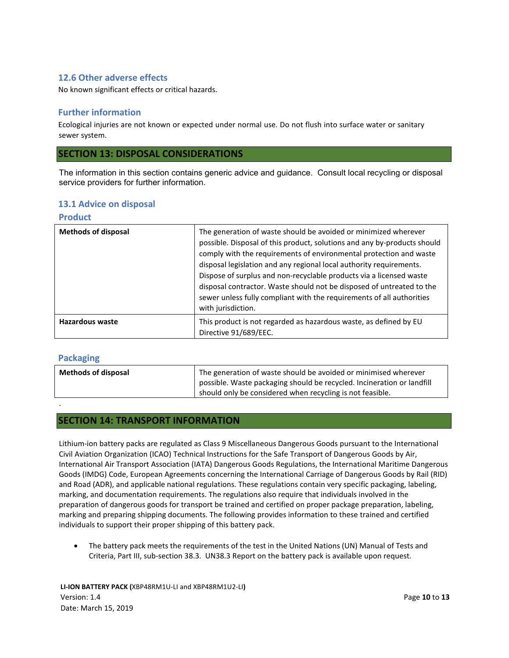## **12.6 Other adverse effects**

No known significant effects or critical hazards.

## **Further information**

Ecological injuries are not known or expected under normal use. Do not flush into surface water or sanitary sewer system.

## **SECTION 13: DISPOSAL CONSIDERATIONS**

The information in this section contains generic advice and guidance. Consult local recycling or disposal service providers for further information.

## **13.1 Advice on disposal**

#### **Product**

| <b>Methods of disposal</b> | The generation of waste should be avoided or minimized wherever<br>possible. Disposal of this product, solutions and any by-products should<br>comply with the requirements of environmental protection and waste<br>disposal legislation and any regional local authority requirements.<br>Dispose of surplus and non-recyclable products via a licensed waste<br>disposal contractor. Waste should not be disposed of untreated to the<br>sewer unless fully compliant with the requirements of all authorities<br>with jurisdiction. |
|----------------------------|-----------------------------------------------------------------------------------------------------------------------------------------------------------------------------------------------------------------------------------------------------------------------------------------------------------------------------------------------------------------------------------------------------------------------------------------------------------------------------------------------------------------------------------------|
| <b>Hazardous waste</b>     | This product is not regarded as hazardous waste, as defined by EU<br>Directive 91/689/EEC.                                                                                                                                                                                                                                                                                                                                                                                                                                              |

#### **Packaging**

.

| <b>Methods of disposal</b> | The generation of waste should be avoided or minimised wherever        |
|----------------------------|------------------------------------------------------------------------|
|                            | possible. Waste packaging should be recycled. Incineration or landfill |
|                            | should only be considered when recycling is not feasible.              |

## **SECTION 14: TRANSPORT INFORMATION**

Lithium-ion battery packs are regulated as Class 9 Miscellaneous Dangerous Goods pursuant to the International Civil Aviation Organization (ICAO) Technical Instructions for the Safe Transport of Dangerous Goods by Air, International Air Transport Association (IATA) Dangerous Goods Regulations, the International Maritime Dangerous Goods (IMDG) Code, European Agreements concerning the International Carriage of Dangerous Goods by Rail (RID) and Road (ADR), and applicable national regulations. These regulations contain very specific packaging, labeling, marking, and documentation requirements. The regulations also require that individuals involved in the preparation of dangerous goods for transport be trained and certified on proper package preparation, labeling, marking and preparing shipping documents. The following provides information to these trained and certified individuals to support their proper shipping of this battery pack.

• The battery pack meets the requirements of the test in the United Nations (UN) Manual of Tests and Criteria, Part III, sub-section 38.3. UN38.3 Report on the battery pack is available upon request.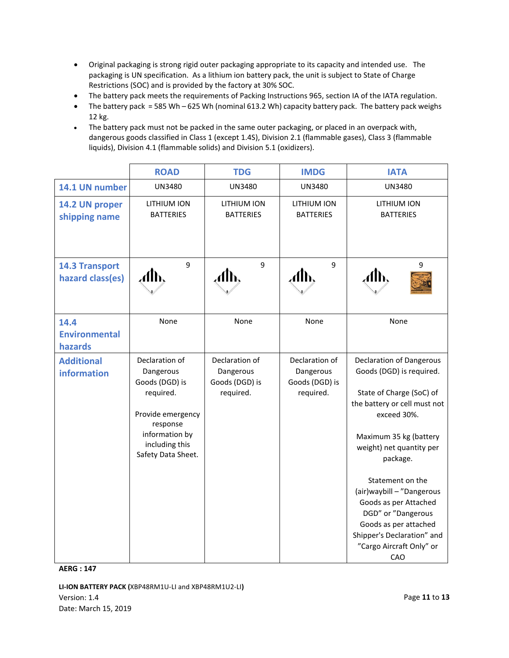- Original packaging is strong rigid outer packaging appropriate to its capacity and intended use. The packaging is UN specification. As a lithium ion battery pack, the unit is subject to State of Charge Restrictions (SOC) and is provided by the factory at 30% SOC.
- The battery pack meets the requirements of Packing Instructions 965, section IA of the IATA regulation.
- The battery pack = 585 Wh 625 Wh (nominal 613.2 Wh) capacity battery pack. The battery pack weighs 12 kg.
- The battery pack must not be packed in the same outer packaging, or placed in an overpack with, dangerous goods classified in Class 1 (except 1.4S), Division 2.1 (flammable gases), Class 3 (flammable liquids), Division 4.1 (flammable solids) and Division 5.1 (oxidizers).

|                                           | <b>ROAD</b>                                                                                                                                           | <b>TDG</b>                                                 | <b>IMDG</b>                                                | <b>IATA</b>                                                                                                                                                                                                                                                                                                                                                                                          |
|-------------------------------------------|-------------------------------------------------------------------------------------------------------------------------------------------------------|------------------------------------------------------------|------------------------------------------------------------|------------------------------------------------------------------------------------------------------------------------------------------------------------------------------------------------------------------------------------------------------------------------------------------------------------------------------------------------------------------------------------------------------|
| 14.1 UN number                            | <b>UN3480</b>                                                                                                                                         | <b>UN3480</b>                                              | <b>UN3480</b>                                              | <b>UN3480</b>                                                                                                                                                                                                                                                                                                                                                                                        |
| 14.2 UN proper<br>shipping name           | LITHIUM ION<br><b>BATTERIES</b>                                                                                                                       | LITHIUM ION<br><b>BATTERIES</b>                            | LITHIUM ION<br><b>BATTERIES</b>                            | LITHIUM ION<br><b>BATTERIES</b>                                                                                                                                                                                                                                                                                                                                                                      |
| <b>14.3 Transport</b><br>hazard class(es) | 9                                                                                                                                                     | 9                                                          | 9                                                          | 9                                                                                                                                                                                                                                                                                                                                                                                                    |
| 14.4<br><b>Environmental</b><br>hazards   | None                                                                                                                                                  | None                                                       | None                                                       | None                                                                                                                                                                                                                                                                                                                                                                                                 |
| <b>Additional</b><br>information          | Declaration of<br>Dangerous<br>Goods (DGD) is<br>required.<br>Provide emergency<br>response<br>information by<br>including this<br>Safety Data Sheet. | Declaration of<br>Dangerous<br>Goods (DGD) is<br>required. | Declaration of<br>Dangerous<br>Goods (DGD) is<br>required. | <b>Declaration of Dangerous</b><br>Goods (DGD) is required.<br>State of Charge (SoC) of<br>the battery or cell must not<br>exceed 30%.<br>Maximum 35 kg (battery<br>weight) net quantity per<br>package.<br>Statement on the<br>(air) way bill - "Dangerous<br>Goods as per Attached<br>DGD" or "Dangerous<br>Goods as per attached<br>Shipper's Declaration" and<br>"Cargo Aircraft Only" or<br>CAO |

**AERG : 147**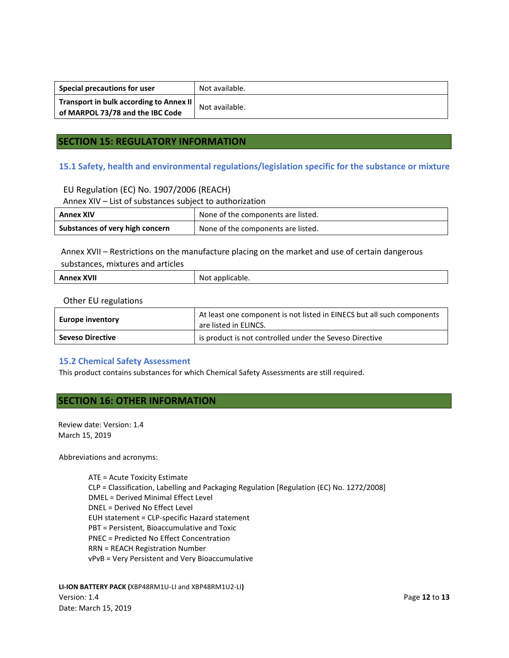| Special precautions for user                                                  | Not available. |
|-------------------------------------------------------------------------------|----------------|
| Transport in bulk according to Annex II  <br>of MARPOL 73/78 and the IBC Code | Not available. |

## **SECTION 15: REGULATORY INFORMATION**

#### **15.1 Safety, health and environmental regulations/legislation specific for the substance or mixture**

#### EU Regulation (EC) No. 1907/2006 (REACH)

Annex XIV – List of substances subject to authorization

| <b>Annex XIV</b>                | None of the components are listed. |
|---------------------------------|------------------------------------|
| Substances of very high concern | None of the components are listed. |

Annex XVII – Restrictions on the manufacture placing on the market and use of certain dangerous substances, mixtures and articles

| xvıı<br>- - -<br>– NO*<br>licable.<br><b><i><u>ADDIII</u></i></b><br>- 11<br>__ |  |
|---------------------------------------------------------------------------------|--|
|---------------------------------------------------------------------------------|--|

#### Other EU regulations

| <b>Europe inventory</b> | At least one component is not listed in EINECS but all such components<br>are listed in ELINCS. |
|-------------------------|-------------------------------------------------------------------------------------------------|
| <b>Seveso Directive</b> | is product is not controlled under the Seveso Directive                                         |

#### **15.2 Chemical Safety Assessment**

This product contains substances for which Chemical Safety Assessments are still required.

# **SECTION 16: OTHER INFORMATION**

Review date: Version: 1.4 March 15, 2019

Abbreviations and acronyms:

ATE = Acute Toxicity Estimate CLP = Classification, Labelling and Packaging Regulation [Regulation (EC) No. 1272/2008] DMEL = Derived Minimal Effect Level DNEL = Derived No Effect Level EUH statement = CLP-specific Hazard statement PBT = Persistent, Bioaccumulative and Toxic PNEC = Predicted No Effect Concentration RRN = REACH Registration Number vPvB = Very Persistent and Very Bioaccumulative